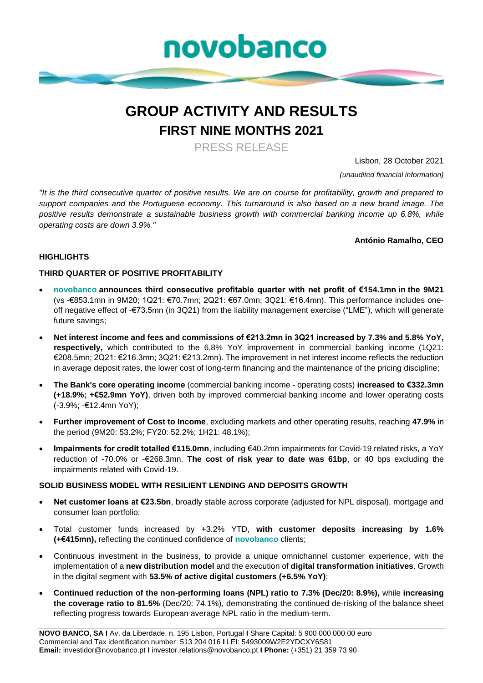

# **GROUP ACTIVITY AND RESULTS FIRST NINE MONTHS 2021**

PRESS RELEASE

Lisbon, 28 October 2021

*(unaudited financial information)*

*"It is the third consecutive quarter of positive results. We are on course for profitability, growth and prepared to support companies and the Portuguese economy. This turnaround is also based on a new brand image. The positive results demonstrate a sustainable business growth with commercial banking income up 6.8%, while operating costs are down 3.9%."*

**António Ramalho, CEO**

### **HIGHLIGHTS**

### **THIRD QUARTER OF POSITIVE PROFITABILITY**

- **novobanco announces third consecutive profitable quarter with net profit of €154.1mn in the 9M21**  (vs -€853.1mn in 9M20; 1Q21: €70.7mn; 2Q21: €67.0mn; 3Q21: €16.4mn). This performance includes oneoff negative effect of -€73.5mn (in 3Q21) from the liability management exercise ("LME"), which will generate future savings;
- **Net interest income and fees and commissions of €213.2mn in 3Q21 increased by 7.3% and 5.8% YoY, respectively,** which contributed to the 6.8% YoY improvement in commercial banking income (1Q21: €208.5mn; 2Q21: €216.3mn; 3Q21: €213.2mn). The improvement in net interest income reflects the reduction in average deposit rates, the lower cost of long-term financing and the maintenance of the pricing discipline;
- **The Bank's core operating income** (commercial banking income operating costs) **increased to €332.3mn (+18.9%; +€52.9mn YoY)**, driven both by improved commercial banking income and lower operating costs (-3.9%; -€12.4mn YoY);
- **Further improvement of Cost to Income**, excluding markets and other operating results, reaching **47.9%** in the period (9M20: 53.2%; FY20: 52.2%; 1H21: 48.1%);
- **Impairments for credit totalled €115.0mn**, including €40.2mn impairments for Covid-19 related risks, a YoY reduction of -70.0% or -€268.3mn. **The cost of risk year to date was 61bp**, or 40 bps excluding the impairments related with Covid-19.

### **SOLID BUSINESS MODEL WITH RESILIENT LENDING AND DEPOSITS GROWTH**

- **Net customer loans at €23.5bn**, broadly stable across corporate (adjusted for NPL disposal), mortgage and consumer loan portfolio;
- Total customer funds increased by +3.2% YTD, **with customer deposits increasing by 1.6% (+€415mn),** reflecting the continued confidence of **novobanco** clients;
- Continuous investment in the business, to provide a unique omnichannel customer experience, with the implementation of a **new distribution model** and the execution of **digital transformation initiatives**. Growth in the digital segment with **53.5% of active digital customers (+6.5% YoY)**;
- **Continued reduction of the non-performing loans (NPL) ratio to 7.3% (Dec/20: 8.9%),** while **increasing the coverage ratio to 81.5%** (Dec/20: 74.1%), demonstrating the continued de-risking of the balance sheet reflecting progress towards European average NPL ratio in the medium-term.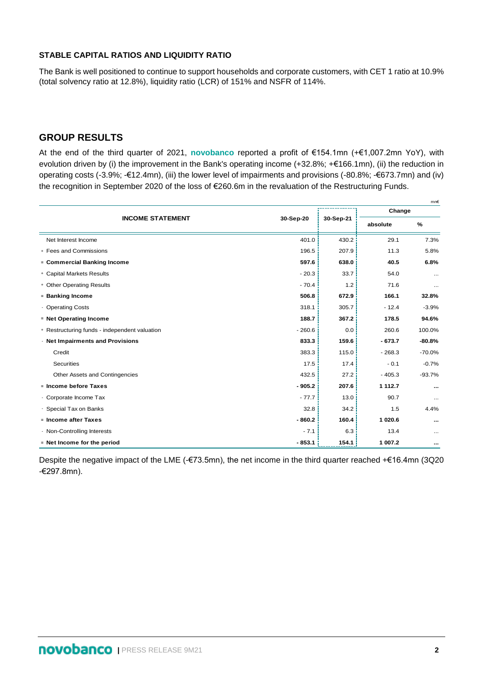### **STABLE CAPITAL RATIOS AND LIQUIDITY RATIO**

The Bank is well positioned to continue to support households and corporate customers, with CET 1 ratio at 10.9% (total solvency ratio at 12.8%), liquidity ratio (LCR) of 151% and NSFR of 114%.

# **GROUP RESULTS**

At the end of the third quarter of 2021, **novobanco** reported a profit of €154.1mn (+€1,007.2mn YoY), with evolution driven by (i) the improvement in the Bank's operating income (+32.8%; +€166.1mn), (ii) the reduction in operating costs (-3.9%; -€12.4mn), (iii) the lower level of impairments and provisions (-80.8%; -€673.7mn) and (iv) the recognition in September 2020 of the loss of €260.6m in the revaluation of the Restructuring Funds.

|                                               |           |           |          | mn€      |
|-----------------------------------------------|-----------|-----------|----------|----------|
|                                               |           |           | Change   |          |
| <b>INCOME STATEMENT</b>                       | 30-Sep-20 | 30-Sep-21 | absolute | $\%$     |
| Net Interest Income                           | 401.0     | 430.2     | 29.1     | 7.3%     |
| + Fees and Commissions                        | 196.5     | 207.9     | 11.3     | 5.8%     |
| = Commercial Banking Income                   | 597.6     | 638.0     | 40.5     | 6.8%     |
| + Capital Markets Results                     | $-20.3$   | 33.7      | 54.0     | $\cdots$ |
| + Other Operating Results                     | $-70.4$   | 1.2       | 71.6     | $\cdots$ |
| = Banking Income                              | 506.8     | 672.9     | 166.1    | 32.8%    |
| - Operating Costs                             | 318.1     | 305.7     | $-12.4$  | $-3.9%$  |
| = Net Operating Income                        | 188.7     | 367.2     | 178.5    | 94.6%    |
| + Restructuring funds - independent valuation | $-260.6$  | 0.0       | 260.6    | 100.0%   |
| - Net Impairments and Provisions              | 833.3     | 159.6     | $-673.7$ | $-80.8%$ |
| Credit                                        | 383.3     | 115.0     | $-268.3$ | $-70.0%$ |
| Securities                                    | 17.5      | 17.4      | $-0.1$   | $-0.7%$  |
| Other Assets and Contingencies                | 432.5     | 27.2      | $-405.3$ | $-93.7%$ |
| - Income before Taxes                         | $-905.2$  | 207.6     | 1 112.7  | $\cdots$ |
| - Corporate Income Tax                        | $-77.7$   | 13.0      | 90.7     | $\cdots$ |
| - Special Tax on Banks                        | 32.8      | 34.2      | 1.5      | 4.4%     |
| = Income after Taxes                          | $-860.2$  | 160.4     | 1 020.6  | $\cdots$ |
| - Non-Controlling Interests                   | $-7.1$    | 6.3       | 13.4     | $\cdots$ |
| = Net Income for the period                   | $-853.1$  | 154.1     | 1 007.2  | $\cdots$ |

Despite the negative impact of the LME (-€73.5mn), the net income in the third quarter reached +€16.4mn (3Q20 -€297.8mn).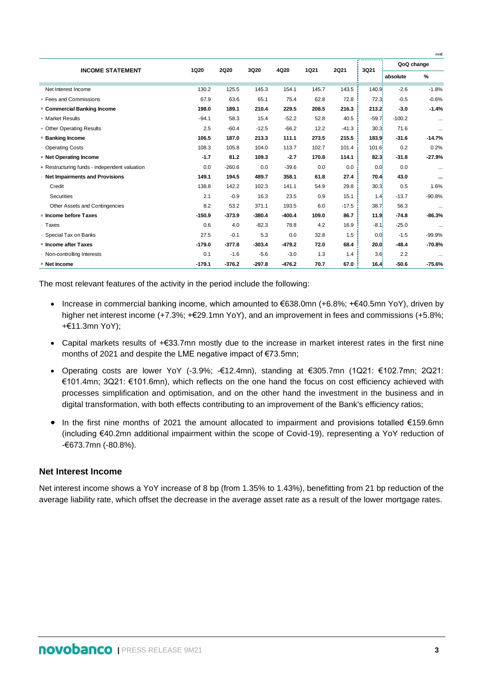|          |             |             |          |       |             |             |                     | mn€                                                                                                                                                                                                                                      |
|----------|-------------|-------------|----------|-------|-------------|-------------|---------------------|------------------------------------------------------------------------------------------------------------------------------------------------------------------------------------------------------------------------------------------|
|          |             |             |          |       |             |             | QoQ change          |                                                                                                                                                                                                                                          |
|          |             |             |          |       |             |             | absolute            | %                                                                                                                                                                                                                                        |
| 130.2    | 125.5       | 145.3       | 154.1    | 145.7 | 143.5       |             | $-2.6$              | $-1.8%$                                                                                                                                                                                                                                  |
| 67.9     | 63.6        | 65.1        | 75.4     | 62.8  | 72.8        |             | $-0.5$              | $-0.6%$                                                                                                                                                                                                                                  |
| 198.0    | 189.1       | 210.4       | 229.5    | 208.5 | 216.3       |             | $-3.0$              | $-1.4%$                                                                                                                                                                                                                                  |
| $-94.1$  | 58.3        | 15.4        | $-52.2$  | 52.8  | 40.5        |             | $-100.2$            | $\cdots$                                                                                                                                                                                                                                 |
| 2.5      | $-60.4$     | $-12.5$     | $-66.2$  | 12.2  | $-41.3$     |             | 71.6                | $\cdots$                                                                                                                                                                                                                                 |
| 106.5    | 187.0       | 213.3       | 111.1    | 273.5 | 215.5       |             | $-31.6$             | $-14.7%$                                                                                                                                                                                                                                 |
| 108.3    | 105.8       | 104.0       | 113.7    | 102.7 | 101.4       |             | 0.2                 | 0.2%                                                                                                                                                                                                                                     |
| $-1.7$   | 81.2        | 109.3       | $-2.7$   | 170.8 | 114.1       |             | $-31.8$             | $-27.9%$                                                                                                                                                                                                                                 |
| 0.0      | $-260.6$    | 0.0         | $-39.6$  | 0.0   | 0.0         |             | 0.0                 | $\cdots$                                                                                                                                                                                                                                 |
| 149.1    | 194.5       | 489.7       | 358.1    | 61.8  | 27.4        |             | 43.0                | $\cdots$                                                                                                                                                                                                                                 |
| 138.8    | 142.2       | 102.3       | 141.1    | 54.9  | 29.8        |             | 0.5                 | 1.6%                                                                                                                                                                                                                                     |
| 2.1      | $-0.9$      | 16.3        | 23.5     | 0.9   | 15.1        |             | $-13.7$             | $-90.8%$                                                                                                                                                                                                                                 |
| 8.2      | 53.2        | 371.1       | 193.5    | 6.0   | $-17.5$     |             | 56.3                | $\cdots$                                                                                                                                                                                                                                 |
| $-150.9$ | $-373.9$    | $-380.4$    | $-400.4$ | 109.0 | 86.7        |             | $-74.8$             | $-86.3%$                                                                                                                                                                                                                                 |
| 0.6      | 4.0         | $-82.3$     | 78.8     | 4.2   | 16.9        |             | $-25.0$             | $\cdots$                                                                                                                                                                                                                                 |
| 27.5     | $-0.1$      | 5.3         | 0.0      | 32.8  | 1.5         |             | $-1.5$              | $-99.9%$                                                                                                                                                                                                                                 |
| $-179.0$ | $-377.8$    | $-303.4$    | $-479.2$ | 72.0  | 68.4        |             | $-48.4$             | $-70.8%$                                                                                                                                                                                                                                 |
| 0.1      | $-1.6$      | $-5.6$      | $-3.0$   | 1.3   | 1.4         |             | 2.2                 | $\cdots$                                                                                                                                                                                                                                 |
| $-179.1$ | $-376.2$    | $-297.8$    | $-476.2$ | 70.7  | 67.0        |             | $-50.6$             | $-75.6%$                                                                                                                                                                                                                                 |
|          | <b>1Q20</b> | <b>2Q20</b> | 3Q20     | 4Q20  | <b>1Q21</b> | <b>2Q21</b> | -----------<br>3Q21 | 140.9 <sup>1</sup><br>72.3<br>213.2<br>$-59.7$<br>30.3 <sub>1</sub><br>183.9<br>101.6<br>82.3<br>0.0 <sub>1</sub><br>70.4<br>30.3<br>1.4 <sup>1</sup><br>38.7<br>11.9<br>$-8.1$<br>0.0 <sub>i</sub><br>20.01<br>3.6 <sub>1</sub><br>16.4 |

The most relevant features of the activity in the period include the following:

- Increase in commercial banking income, which amounted to €638.0mn (+6.8%; +€40.5mn YoY), driven by higher net interest income (+7.3%; +€29.1mn YoY), and an improvement in fees and commissions (+5.8%; +€11.3mn YoY);
- Capital markets results of +€33.7mn mostly due to the increase in market interest rates in the first nine months of 2021 and despite the LME negative impact of €73.5mn;
- Operating costs are lower YoY (-3.9%; -€12.4mn), standing at €305.7mn (1Q21: €102.7mn; 2Q21: €101.4mn; 3Q21: €101.6mn), which reflects on the one hand the focus on cost efficiency achieved with processes simplification and optimisation, and on the other hand the investment in the business and in digital transformation, with both effects contributing to an improvement of the Bank's efficiency ratios;
- In the first nine months of 2021 the amount allocated to impairment and provisions totalled €159.6mn (including €40.2mn additional impairment within the scope of Covid-19), representing a YoY reduction of -€673.7mn (-80.8%).

### **Net Interest Income**

Net interest income shows a YoY increase of 8 bp (from 1.35% to 1.43%), benefitting from 21 bp reduction of the average liability rate, which offset the decrease in the average asset rate as a result of the lower mortgage rates.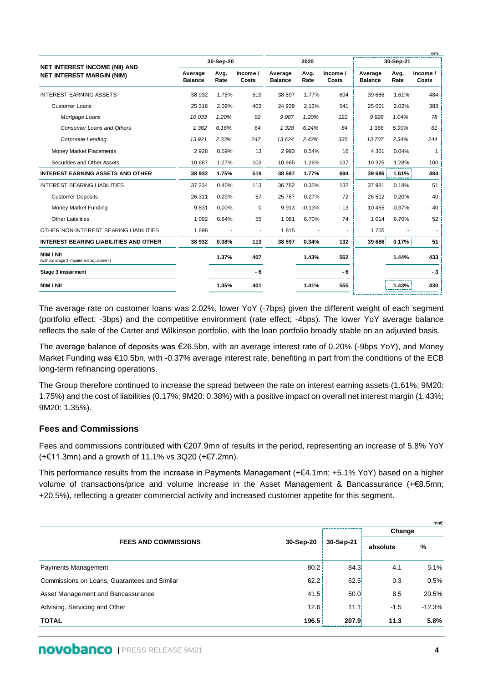|                                                                          |                           |              |                   |                           |              |                   |                           |              | mn€               |
|--------------------------------------------------------------------------|---------------------------|--------------|-------------------|---------------------------|--------------|-------------------|---------------------------|--------------|-------------------|
|                                                                          |                           | 30-Sep-20    |                   |                           | 2020         |                   |                           | 30-Sep-21    |                   |
| <b>NET INTEREST INCOME (NII) AND</b><br><b>NET INTEREST MARGIN (NIM)</b> | Average<br><b>Balance</b> | Avg.<br>Rate | Income /<br>Costs | Average<br><b>Balance</b> | Avg.<br>Rate | Income /<br>Costs | Average<br><b>Balance</b> | Avg.<br>Rate | Income /<br>Costs |
| <b>INTEREST EARNING ASSETS</b>                                           | 38 932                    | 1.75%        | 519               | 38 597                    | 1.77%        | 694               | 39 686                    | 1.61%        | 484               |
| <b>Customer Loans</b>                                                    | 25 316                    | 2.09%        | 403               | 24 939                    | 2.13%        | 541               | 25 001                    | 2.02%        | 383               |
| Mortgage Loans                                                           | 10033                     | 1.20%        | 92                | 9987                      | 1.20%        | 122               | 9928                      | 1.04%        | 78                |
| <b>Consumer Loans and Others</b>                                         | 1 3 6 2                   | 6.16%        | 64                | 1 3 2 8                   | 6.24%        | 84                | 1 3 6 6                   | 5.90%        | 61                |
| Corporate Lending                                                        | 13921                     | 2.33%        | 247               | 13624                     | 2.42%        | 335               | 13707                     | 2.34%        | 244               |
| Money Market Placements                                                  | 2928                      | 0.59%        | 13                | 2993                      | 0.54%        | 16                | 4 3 6 1                   | 0.04%        | 1                 |
| Securities and Other Assets                                              | 10 687                    | 1.27%        | 103               | 10 665                    | 1.26%        | 137               | 10 3 25                   | 1.28%        | 100               |
| <b>INTEREST EARNING ASSETS AND OTHER</b>                                 | 38 932                    | 1.75%        | 519               | 38 597                    | 1.77%        | 694               | 39 686                    | 1.61%        | 484               |
| <b>INTEREST BEARING LIABILITIES</b>                                      | 37 234                    | 0.40%        | 113               | 36 782                    | 0.35%        | 132               | 37 981                    | 0.18%        | 51                |
| <b>Customer Deposits</b>                                                 | 26 311                    | 0.29%        | 57                | 25 787                    | 0.27%        | 72                | 26 512                    | 0.20%        | 40                |
| Money Market Funding                                                     | 9831                      | 0.00%        | $\mathbf 0$       | 9913                      | $-0.13%$     | $-13$             | 10 455                    | $-0.37%$     | $-40$             |
| <b>Other Liabilities</b>                                                 | 1 0 9 2                   | 6.64%        | 55                | 1 0 8 1                   | 6.70%        | 74                | 1014                      | 6.70%        | 52                |
| OTHER NON-INTEREST BEARING LIABILITIES                                   | 1698                      |              |                   | 1815                      |              | ٠                 | 1705                      |              |                   |
| <b>INTEREST BEARING LIABILITIES AND OTHER</b>                            | 38 932                    | 0.38%        | 113               | 38 597                    | 0.34%        | 132               | 39 686                    | 0.17%        | 51                |
| NIM / NII<br>(without stage 3 impairment adjustment)                     |                           | 1.37%        | 407               |                           | 1.43%        | 562               |                           | 1.44%        | 433               |
| Stage 3 impairment                                                       |                           |              | - 6               |                           |              | - 6               |                           |              | - 3               |
| NIM / NII                                                                |                           | 1.35%        | 401               |                           | 1.41%        | 555               |                           | 1.43%        | 430               |
|                                                                          |                           |              |                   |                           |              |                   |                           |              |                   |

The average rate on customer loans was 2.02%, lower YoY (-7bps) given the different weight of each segment (portfolio effect; -3bps) and the competitive environment (rate effect; -4bps). The lower YoY average balance reflects the sale of the Carter and Wilkinson portfolio, with the loan portfolio broadly stable on an adjusted basis.

The average balance of deposits was €26.5bn, with an average interest rate of 0.20% (-9bps YoY), and Money Market Funding was €10.5bn, with -0.37% average interest rate, benefiting in part from the conditions of the ECB long-term refinancing operations.

The Group therefore continued to increase the spread between the rate on interest earning assets (1.61%; 9M20: 1.75%) and the cost of liabilities (0.17%; 9M20: 0.38%) with a positive impact on overall net interest margin (1.43%; 9M20: 1.35%).

### **Fees and Commissions**

Fees and commissions contributed with €207.9mn of results in the period, representing an increase of 5.8% YoY (+€11.3mn) and a growth of 11.1% vs 3Q20 (+€7.2mn).

This performance results from the increase in Payments Management (+€4.1mn; +5.1% YoY) based on a higher volume of transactions/price and volume increase in the Asset Management & Bancassurance (+€8.5mn; +20.5%), reflecting a greater commercial activity and increased customer appetite for this segment.

|                                              |           |                   |          | mn€      |
|----------------------------------------------|-----------|-------------------|----------|----------|
|                                              |           |                   | Change   |          |
| <b>FEES AND COMMISSIONS</b>                  | 30-Sep-20 | 30-Sep-21         | absolute | %        |
| Payments Management                          | 80.2      | 84.3              | 4.1      | 5.1%     |
| Commissions on Loans, Guarantees and Similar | 62.2      | 62.5              | 0.3      | 0.5%     |
| Asset Management and Bancassurance           | 41.5      | 50.0 <sup>1</sup> | 8.5      | 20.5%    |
| Advising, Servicing and Other                | 12.6      | 11.1!             | $-1.5$   | $-12.3%$ |
| <b>TOTAL</b>                                 | 196.5     | 207.9             | 11.3     | 5.8%     |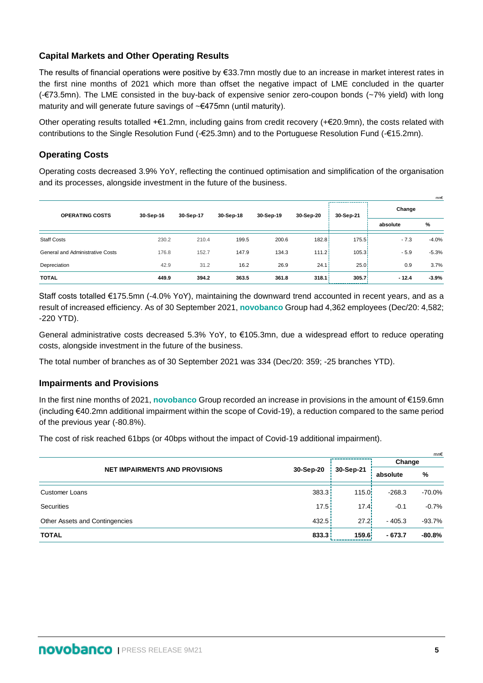# **Capital Markets and Other Operating Results**

The results of financial operations were positive by €33.7mn mostly due to an increase in market interest rates in the first nine months of 2021 which more than offset the negative impact of LME concluded in the quarter (-€73.5mn). The LME consisted in the buy-back of expensive senior zero-coupon bonds (~7% yield) with long maturity and will generate future savings of ~€475mn (until maturity).

Other operating results totalled +€1.2mn, including gains from credit recovery (+€20.9mn), the costs related with contributions to the Single Resolution Fund (-€25.3mn) and to the Portuguese Resolution Fund (-€15.2mn).

# **Operating Costs**

Operating costs decreased 3.9% YoY, reflecting the continued optimisation and simplification of the organisation and its processes, alongside investment in the future of the business.

|                                  |           |           |           |           |           |           |          | mn€     |
|----------------------------------|-----------|-----------|-----------|-----------|-----------|-----------|----------|---------|
| <b>OPERATING COSTS</b>           | 30-Sep-16 | 30-Sep-17 | 30-Sep-18 | 30-Sep-19 | 30-Sep-20 | 30-Sep-21 | Change   |         |
|                                  |           |           |           |           |           |           | absolute | %       |
| <b>Staff Costs</b>               | 230.2     | 210.4     | 199.5     | 200.6     | 182.8     | 175.5     | $-7.3$   | $-4.0%$ |
| General and Administrative Costs | 176.8     | 152.7     | 147.9     | 134.3     | 111.2     | 105.3     | $-5.9$   | $-5.3%$ |
| Depreciation                     | 42.9      | 31.2      | 16.2      | 26.9      | 24.1      | 25.01     | 0.9      | 3.7%    |
| <b>TOTAL</b>                     | 449.9     | 394.2     | 363.5     | 361.8     | 318.1     | 305.7     | $-12.4$  | $-3.9%$ |

Staff costs totalled €175.5mn (-4.0% YoY), maintaining the downward trend accounted in recent years, and as a result of increased efficiency. As of 30 September 2021, **novobanco** Group had 4,362 employees (Dec/20: 4,582; -220 YTD).

General administrative costs decreased 5.3% YoY, to €105.3mn, due a widespread effort to reduce operating costs, alongside investment in the future of the business.

The total number of branches as of 30 September 2021 was 334 (Dec/20: 359; -25 branches YTD).

### **Impairments and Provisions**

In the first nine months of 2021, **novobanco** Group recorded an increase in provisions in the amount of €159.6mn (including €40.2mn additional impairment within the scope of Covid-19), a reduction compared to the same period of the previous year (-80.8%).

The cost of risk reached 61bps (or 40bps without the impact of Covid-19 additional impairment).

|                                       |                    |                    |          | mn€      |
|---------------------------------------|--------------------|--------------------|----------|----------|
|                                       |                    |                    | Change   |          |
| <b>NET IMPAIRMENTS AND PROVISIONS</b> | 30-Sep-20          | 30-Sep-21          | absolute | %        |
| <b>Customer Loans</b>                 | 383.3              | 115.0 <sub>i</sub> | $-268.3$ | -70.0%   |
| <b>Securities</b>                     | 17.5               | 17.4               | $-0.1$   | $-0.7%$  |
| Other Assets and Contingencies        | 432.5              | 27.21              | $-405.3$ | $-93.7%$ |
| <b>TOTAL</b>                          | 833.3 <sup>1</sup> | 159.6              | $-673.7$ | $-80.8%$ |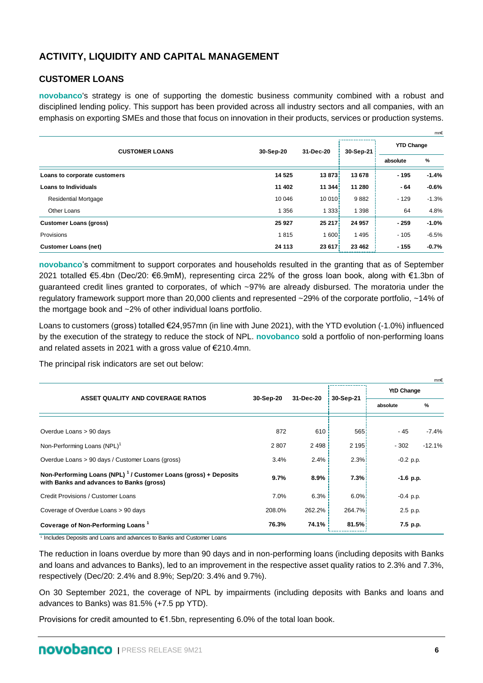# **ACTIVITY, LIQUIDITY AND CAPITAL MANAGEMENT**

## **CUSTOMER LOANS**

**novobanco**'s strategy is one of supporting the domestic business community combined with a robust and disciplined lending policy. This support has been provided across all industry sectors and all companies, with an emphasis on exporting SMEs and those that focus on innovation in their products, services or production systems.

|                               |           |                   |           |                   | mn€     |
|-------------------------------|-----------|-------------------|-----------|-------------------|---------|
| <b>CUSTOMER LOANS</b>         | 30-Sep-20 | 31-Dec-20         | 30-Sep-21 | <b>YTD Change</b> |         |
|                               |           |                   |           | absolute          | %       |
| Loans to corporate customers  | 14 5 25   | 13 873            | 13 678    | $-195$            | $-1.4%$ |
| <b>Loans to Individuals</b>   | 11 402    | 11 344            | 11 280    | $-64$             | $-0.6%$ |
| <b>Residential Mortgage</b>   | 10 046    | 10 010            | 9882      | $-129$            | $-1.3%$ |
| Other Loans                   | 1 356     | 1 3 3 3           | 1 398     | 64                | 4.8%    |
| <b>Customer Loans (gross)</b> | 25 9 27   | 25 217            | 24 957    | $-259$            | $-1.0%$ |
| Provisions                    | 1815      | 1600 <sup>1</sup> | 1495      | $-105$            | $-6.5%$ |
| <b>Customer Loans (net)</b>   | 24 113    | 23 617            | 23 4 6 2  | $-155$            | $-0.7%$ |

**novobanco**'s commitment to support corporates and households resulted in the granting that as of September 2021 totalled €5.4bn (Dec/20: €6.9mM), representing circa 22% of the gross loan book, along with €1.3bn of guaranteed credit lines granted to corporates, of which ~97% are already disbursed. The moratoria under the regulatory framework support more than 20,000 clients and represented ~29% of the corporate portfolio, ~14% of the mortgage book and ~2% of other individual loans portfolio.

Loans to customers (gross) totalled €24,957mn (in line with June 2021), with the YTD evolution (-1.0%) influenced by the execution of the strategy to reduce the stock of NPL. **novobanco** sold a portfolio of non-performing loans and related assets in 2021 with a gross value of €210.4mn.

The principal risk indicators are set out below:

|                                                                                                                         |           |           |           |             | mn€      |
|-------------------------------------------------------------------------------------------------------------------------|-----------|-----------|-----------|-------------|----------|
| ASSET QUALITY AND COVERAGE RATIOS                                                                                       | 30-Sep-20 | 31-Dec-20 | 30-Sep-21 | YtD Change  |          |
|                                                                                                                         |           |           |           | absolute    | %        |
|                                                                                                                         |           |           |           |             |          |
| Overdue Loans > 90 days                                                                                                 | 872       | 610       | 565!      | - 45        | $-7.4%$  |
| Non-Performing Loans (NPL) <sup>1</sup>                                                                                 | 2807      | 2498      | 2195      | $-302$      | $-12.1%$ |
| Overdue Loans > 90 days / Customer Loans (gross)                                                                        | 3.4%      | 2.4%      | $2.3\%$   | $-0.2$ p.p. |          |
| Non-Performing Loans (NPL) <sup>1</sup> / Customer Loans (gross) + Deposits<br>with Banks and advances to Banks (gross) | 9.7%      | $8.9\%$   | 7.3%      | $-1.6$ p.p. |          |
| Credit Provisions / Customer Loans                                                                                      | 7.0%      | 6.3%      | $6.0\%$   | $-0.4$ p.p. |          |
| Coverage of Overdue Loans > 90 days                                                                                     | 208.0%    | 262.2%    | 264.7%    | 2.5 p.p.    |          |
| Coverage of Non-Performing Loans <sup>1</sup>                                                                           | 76.3%     | 74.1%     | 81.5%     | 7.5 p.p.    |          |

1 Includes Deposits and Loans and advances to Banks and Customer Loans

The reduction in loans overdue by more than 90 days and in non-performing loans (including deposits with Banks and loans and advances to Banks), led to an improvement in the respective asset quality ratios to 2.3% and 7.3%, respectively (Dec/20: 2.4% and 8.9%; Sep/20: 3.4% and 9.7%).

On 30 September 2021, the coverage of NPL by impairments (including deposits with Banks and loans and advances to Banks) was 81.5% (+7.5 pp YTD).

Provisions for credit amounted to  $€1.5$ bn, representing 6.0% of the total loan book.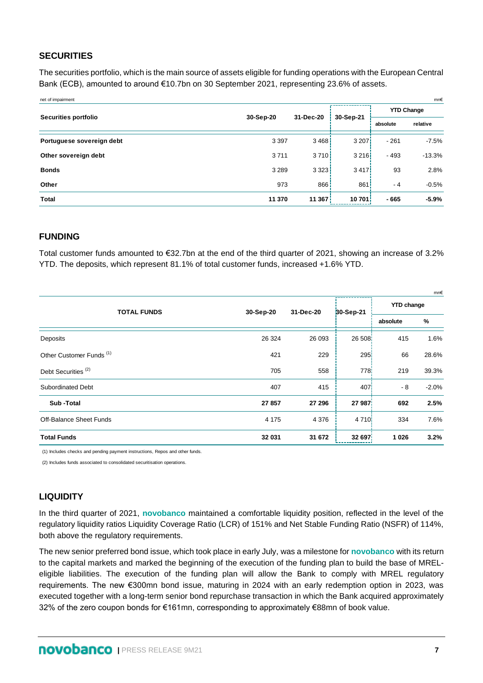## **SECURITIES**

The securities portfolio, which is the main source of assets eligible for funding operations with the European Central Bank (ECB), amounted to around €10.7bn on 30 September 2021, representing 23.6% of assets.

| net of impairment         |           |           |                    |          | mn€               |
|---------------------------|-----------|-----------|--------------------|----------|-------------------|
| Securities portfolio      | 30-Sep-20 | 31-Dec-20 | 30-Sep-21          |          | <b>YTD Change</b> |
|                           |           |           |                    | absolute | relative          |
| Portuguese sovereign debt | 3 3 9 7   | 3468      | 3 207 <sup>1</sup> | $-261$   | $-7.5%$           |
| Other sovereign debt      | 3711      | 3710!     | 3216               | $-493$   | $-13.3%$          |
| <b>Bonds</b>              | 3 2 8 9   | 3323      | 3417               | 93       | 2.8%              |
| Other                     | 973       | 866       | 861                | - 4      | $-0.5%$           |
| <b>Total</b>              | 11 370    | 11367     | 10701              | $-665$   | $-5.9%$           |

### **FUNDING**

Total customer funds amounted to €32.7bn at the end of the third quarter of 2021, showing an increase of 3.2% YTD. The deposits, which represent 81.1% of total customer funds, increased +1.6% YTD.

|                                     |           |           |                              |                   | mn€     |
|-------------------------------------|-----------|-----------|------------------------------|-------------------|---------|
| <b>TOTAL FUNDS</b>                  | 30-Sep-20 | 31-Dec-20 | ---------------<br>30-Sep-21 | <b>YTD change</b> |         |
|                                     |           |           |                              | absolute          | %       |
| Deposits                            | 26 3 24   | 26 093    | 26 508                       | 415               | 1.6%    |
| Other Customer Funds <sup>(1)</sup> | 421       | 229       | 295                          | 66                | 28.6%   |
| Debt Securities <sup>(2)</sup>      | 705       | 558       | 778 <sup>1</sup>             | 219               | 39.3%   |
| <b>Subordinated Debt</b>            | 407       | 415       | 407                          | $-8$              | $-2.0%$ |
| Sub-Total                           | 27 857    | 27 296    | 27 987                       | 692               | 2.5%    |
| Off-Balance Sheet Funds             | 4 1 7 5   | 4 3 7 6   | 4 7 1 0 kg                   | 334               | 7.6%    |
| <b>Total Funds</b>                  | 32 031    | 31 672    | 32 697                       | 1 0 2 6           | 3.2%    |

(1) Includes checks and pending payment instructions, Repos and other funds.

(2) Includes funds associated to consolidated securitisation operations.

# **LIQUIDITY**

In the third quarter of 2021, **novobanco** maintained a comfortable liquidity position, reflected in the level of the regulatory liquidity ratios Liquidity Coverage Ratio (LCR) of 151% and Net Stable Funding Ratio (NSFR) of 114%, both above the regulatory requirements.

The new senior preferred bond issue, which took place in early July, was a milestone for **novobanco** with its return to the capital markets and marked the beginning of the execution of the funding plan to build the base of MRELeligible liabilities. The execution of the funding plan will allow the Bank to comply with MREL regulatory requirements. The new €300mn bond issue, maturing in 2024 with an early redemption option in 2023, was executed together with a long-term senior bond repurchase transaction in which the Bank acquired approximately 32% of the zero coupon bonds for €161mn, corresponding to approximately €88mn of book value.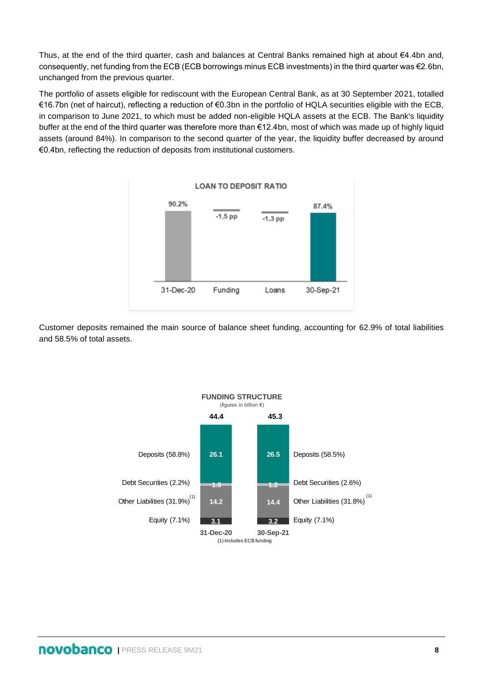Thus, at the end of the third quarter, cash and balances at Central Banks remained high at about €4.4bn and, consequently, net funding from the ECB (ECB borrowings minus ECB investments) in the third quarter was €2.6bn, unchanged from the previous quarter.

The portfolio of assets eligible for rediscount with the European Central Bank, as at 30 September 2021, totalled €16.7bn (net of haircut), reflecting a reduction of €0.3bn in the portfolio of HQLA securities eligible with the ECB, in comparison to June 2021, to which must be added non-eligible HQLA assets at the ECB. The Bank's liquidity buffer at the end of the third quarter was therefore more than €12.4bn, most of which was made up of highly liquid assets (around 84%). In comparison to the second quarter of the year, the liquidity buffer decreased by around €0.4bn, reflecting the reduction of deposits from institutional customers.



Customer deposits remained the main source of balance sheet funding, accounting for 62.9% of total liabilities and 58.5% of total assets.

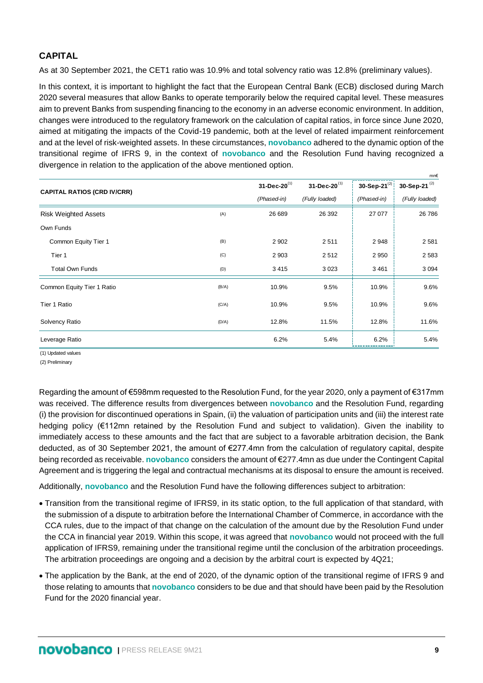# **CAPITAL**

As at 30 September 2021, the CET1 ratio was 10.9% and total solvency ratio was 12.8% (preliminary values).

In this context, it is important to highlight the fact that the European Central Bank (ECB) disclosed during March 2020 several measures that allow Banks to operate temporarily below the required capital level. These measures aim to prevent Banks from suspending financing to the economy in an adverse economic environment. In addition, changes were introduced to the regulatory framework on the calculation of capital ratios, in force since June 2020, aimed at mitigating the impacts of the Covid-19 pandemic, both at the level of related impairment reinforcement and at the level of risk-weighted assets. In these circumstances, **novobanco** adhered to the dynamic option of the transitional regime of IFRS 9, in the context of **novobanco** and the Resolution Fund having recognized a divergence in relation to the application of the above mentioned option.

| <b>CAPITAL RATIOS (CRD IV/CRR)</b> |       | $31 - Dec - 20^{(1)}$ | 31-Dec-20 $^{(1)}$ | 30-Sep-21 $^{(2)}$ | 30-Sep-21 $(2)$ |
|------------------------------------|-------|-----------------------|--------------------|--------------------|-----------------|
|                                    |       | (Phased-in)           | (Fully loaded)     | (Phased-in)        | (Fully loaded)  |
| <b>Risk Weighted Assets</b>        | (A)   | 26 689                | 26 392             | 27 077             | 26 786          |
| Own Funds                          |       |                       |                    |                    |                 |
| Common Equity Tier 1               | (B)   | 2 9 0 2               | 2511               | 2948               | 2581            |
| Tier 1                             | (C)   | 2 9 0 3               | 2512               | 2 9 5 0            | 2583            |
| <b>Total Own Funds</b>             | (D)   | 3415                  | 3023               | 3 4 6 1            | 3 0 9 4         |
| Common Equity Tier 1 Ratio         | (B/A) | 10.9%                 | 9.5%               | 10.9%              | 9.6%            |
| Tier 1 Ratio                       | (C/A) | 10.9%                 | 9.5%               | 10.9%              | 9.6%            |
| Solvency Ratio                     | (D/A) | 12.8%                 | 11.5%              | 12.8%              | 11.6%           |
| Leverage Ratio                     |       | 6.2%                  | 5.4%               | 6.2%               | 5.4%            |

(1) Updated values

(2) Preliminary

Regarding the amount of €598mm requested to the Resolution Fund, for the year 2020, only a payment of €317mm was received. The difference results from divergences between **novobanco** and the Resolution Fund, regarding (i) the provision for discontinued operations in Spain, (ii) the valuation of participation units and (iii) the interest rate hedging policy (€112mn retained by the Resolution Fund and subject to validation). Given the inability to immediately access to these amounts and the fact that are subject to a favorable arbitration decision, the Bank deducted, as of 30 September 2021, the amount of €277.4mn from the calculation of regulatory capital, despite being recorded as receivable. **novobanco** considers the amount of €277.4mn as due under the Contingent Capital Agreement and is triggering the legal and contractual mechanisms at its disposal to ensure the amount is received.

Additionally, **novobanco** and the Resolution Fund have the following differences subject to arbitration:

- Transition from the transitional regime of IFRS9, in its static option, to the full application of that standard, with the submission of a dispute to arbitration before the International Chamber of Commerce, in accordance with the CCA rules, due to the impact of that change on the calculation of the amount due by the Resolution Fund under the CCA in financial year 2019. Within this scope, it was agreed that **novobanco** would not proceed with the full application of IFRS9, remaining under the transitional regime until the conclusion of the arbitration proceedings. The arbitration proceedings are ongoing and a decision by the arbitral court is expected by 4Q21;
- The application by the Bank, at the end of 2020, of the dynamic option of the transitional regime of IFRS 9 and those relating to amounts that **novobanco** considers to be due and that should have been paid by the Resolution Fund for the 2020 financial year.

mn€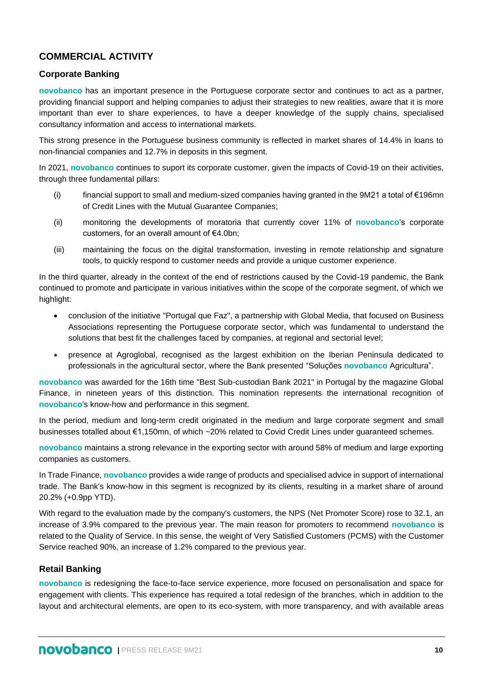# **COMMERCIAL ACTIVITY**

# **Corporate Banking**

**novobanco** has an important presence in the Portuguese corporate sector and continues to act as a partner, providing financial support and helping companies to adjust their strategies to new realities, aware that it is more important than ever to share experiences, to have a deeper knowledge of the supply chains, specialised consultancy information and access to international markets.

This strong presence in the Portuguese business community is reflected in market shares of 14.4% in loans to non-financial companies and 12.7% in deposits in this segment.

In 2021, **novobanco** continues to suport its corporate customer, given the impacts of Covid-19 on their activities, through three fundamental pillars:

- (i) financial support to small and medium-sized companies having granted in the 9M21 a total of €196mn of Credit Lines with the Mutual Guarantee Companies;
- (ii) monitoring the developments of moratoria that currently cover 11% of **novobanco**'s corporate customers, for an overall amount of €4.0bn;
- (iii) maintaining the focus on the digital transformation, investing in remote relationship and signature tools, to quickly respond to customer needs and provide a unique customer experience.

In the third quarter, already in the context of the end of restrictions caused by the Covid-19 pandemic, the Bank continued to promote and participate in various initiatives within the scope of the corporate segment, of which we highlight:

- conclusion of the initiative "Portugal que Faz", a partnership with Global Media, that focused on Business Associations representing the Portuguese corporate sector, which was fundamental to understand the solutions that best fit the challenges faced by companies, at regional and sectorial level;
- presence at Agroglobal, recognised as the largest exhibition on the Iberian Peninsula dedicated to professionals in the agricultural sector, where the Bank presented "Soluções **novobanco** Agricultura".

**novobanco** was awarded for the 16th time "Best Sub-custodian Bank 2021" in Portugal by the magazine Global Finance, in nineteen years of this distinction. This nomination represents the international recognition of **novobanco**'s know-how and performance in this segment.

In the period, medium and long-term credit originated in the medium and large corporate segment and small businesses totalled about €1,150mn, of which ~20% related to Covid Credit Lines under guaranteed schemes.

**novobanco** maintains a strong relevance in the exporting sector with around 58% of medium and large exporting companies as customers.

In Trade Finance, **novobanco** provides a wide range of products and specialised advice in support of international trade. The Bank's know-how in this segment is recognized by its clients, resulting in a market share of around 20.2% (+0.9pp YTD).

With regard to the evaluation made by the company's customers, the NPS (Net Promoter Score) rose to 32.1, an increase of 3.9% compared to the previous year. The main reason for promoters to recommend **novobanco** is related to the Quality of Service. In this sense, the weight of Very Satisfied Customers (PCMS) with the Customer Service reached 90%, an increase of 1.2% compared to the previous year.

### **Retail Banking**

**novobanco** is redesigning the face-to-face service experience, more focused on personalisation and space for engagement with clients. This experience has required a total redesign of the branches, which in addition to the layout and architectural elements, are open to its eco-system, with more transparency, and with available areas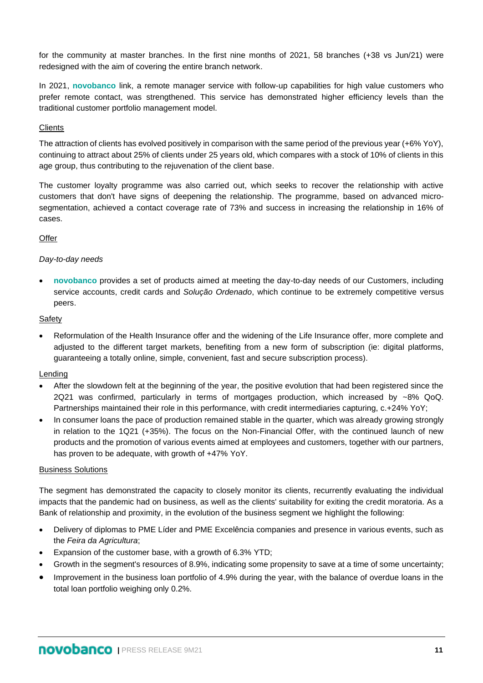for the community at master branches. In the first nine months of 2021, 58 branches (+38 vs Jun/21) were redesigned with the aim of covering the entire branch network.

In 2021, **novobanco** link, a remote manager service with follow-up capabilities for high value customers who prefer remote contact, was strengthened. This service has demonstrated higher efficiency levels than the traditional customer portfolio management model.

### **Clients**

The attraction of clients has evolved positively in comparison with the same period of the previous year (+6% YoY), continuing to attract about 25% of clients under 25 years old, which compares with a stock of 10% of clients in this age group, thus contributing to the rejuvenation of the client base.

The customer loyalty programme was also carried out, which seeks to recover the relationship with active customers that don't have signs of deepening the relationship. The programme, based on advanced microsegmentation, achieved a contact coverage rate of 73% and success in increasing the relationship in 16% of cases.

### **Offer**

### *Day-to-day needs*

• **novobanco** provides a set of products aimed at meeting the day-to-day needs of our Customers, including service accounts, credit cards and *Solução Ordenado*, which continue to be extremely competitive versus peers.

### Safety

• Reformulation of the Health Insurance offer and the widening of the Life Insurance offer, more complete and adjusted to the different target markets, benefiting from a new form of subscription (ie: digital platforms, guaranteeing a totally online, simple, convenient, fast and secure subscription process).

### **Lending**

- After the slowdown felt at the beginning of the year, the positive evolution that had been registered since the 2Q21 was confirmed, particularly in terms of mortgages production, which increased by ~8% QoQ. Partnerships maintained their role in this performance, with credit intermediaries capturing, c.+24% YoY;
- In consumer loans the pace of production remained stable in the quarter, which was already growing strongly in relation to the 1Q21 (+35%). The focus on the Non-Financial Offer, with the continued launch of new products and the promotion of various events aimed at employees and customers, together with our partners, has proven to be adequate, with growth of +47% YoY.

### Business Solutions

The segment has demonstrated the capacity to closely monitor its clients, recurrently evaluating the individual impacts that the pandemic had on business, as well as the clients' suitability for exiting the credit moratoria. As a Bank of relationship and proximity, in the evolution of the business segment we highlight the following:

- Delivery of diplomas to PME Líder and PME Excelência companies and presence in various events, such as the *Feira da Agricultura*;
- Expansion of the customer base, with a growth of 6.3% YTD;
- Growth in the segment's resources of 8.9%, indicating some propensity to save at a time of some uncertainty;
- Improvement in the business loan portfolio of 4.9% during the year, with the balance of overdue loans in the total loan portfolio weighing only 0.2%.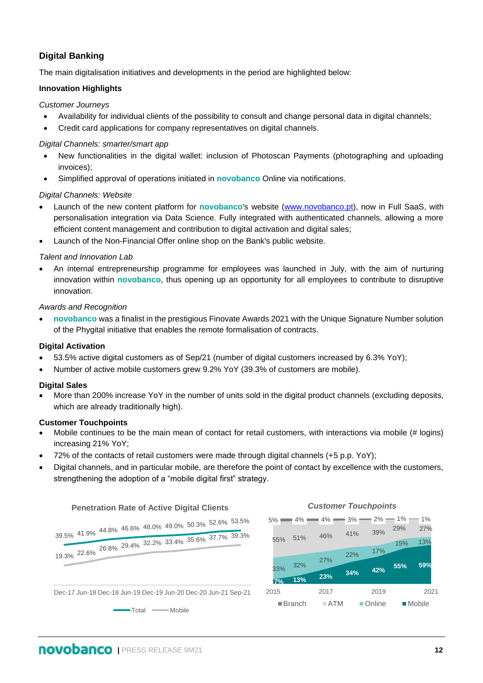# **Digital Banking**

The main digitalisation initiatives and developments in the period are highlighted below:

### **Innovation Highlights**

### *Customer Journeys*

- Availability for individual clients of the possibility to consult and change personal data in digital channels;
- Credit card applications for company representatives on digital channels.

### *Digital Channels: smarter/smart app*

- New functionalities in the digital wallet: inclusion of Photoscan Payments (photographing and uploading invoices);
- Simplified approval of operations initiated in **novobanco** Online via notifications.

### *Digital Channels: Website*

- Launch of the new content platform for **novobanco**'s website [\(www.novobanco.pt\)](http://www.novobanco.pt/), now in Full SaaS, with personalisation integration via Data Science. Fully integrated with authenticated channels, allowing a more efficient content management and contribution to digital activation and digital sales;
- Launch of the Non-Financial Offer online shop on the Bank's public website.

### *Talent and Innovation Lab*

• An internal entrepreneurship programme for employees was launched in July, with the aim of nurturing innovation within **novobanco**, thus opening up an opportunity for all employees to contribute to disruptive innovation.

### *Awards and Recognition*

• **novobanco** was a finalist in the prestigious Finovate Awards 2021 with the Unique Signature Number solution of the Phygital initiative that enables the remote formalisation of contracts.

### **Digital Activation**

- 53.5% active digital customers as of Sep/21 (number of digital customers increased by 6.3% YoY);
- Number of active mobile customers grew 9.2% YoY (39.3% of customers are mobile).

### **Digital Sales**

• More than 200% increase YoY in the number of units sold in the digital product channels (excluding deposits, which are already traditionally high).

### **Customer Touchpoints**

- Mobile continues to be the main mean of contact for retail customers, with interactions via mobile (# logins) increasing 21% YoY;
- 72% of the contacts of retail customers were made through digital channels (+5 p.p. YoY);
- Digital channels, and in particular mobile, are therefore the point of contact by excellence with the customers, strengthening the adoption of a "mobile digital first" strategy.

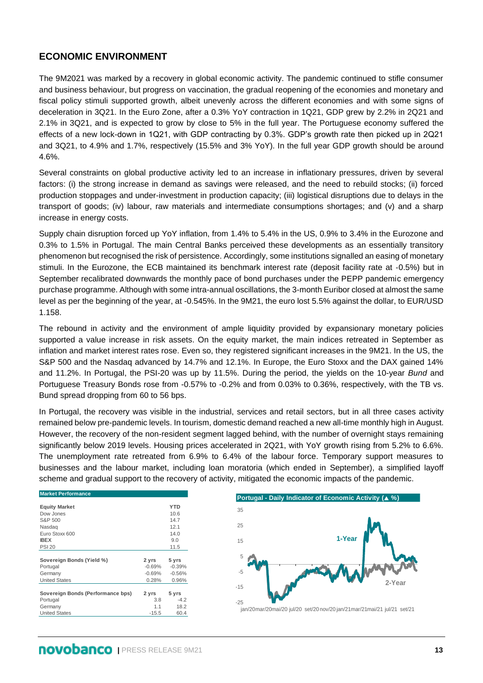# **ECONOMIC ENVIRONMENT**

The 9M2021 was marked by a recovery in global economic activity. The pandemic continued to stifle consumer and business behaviour, but progress on vaccination, the gradual reopening of the economies and monetary and fiscal policy stimuli supported growth, albeit unevenly across the different economies and with some signs of deceleration in 3Q21. In the Euro Zone, after a 0.3% YoY contraction in 1Q21, GDP grew by 2.2% in 2Q21 and 2.1% in 3Q21, and is expected to grow by close to 5% in the full year. The Portuguese economy suffered the effects of a new lock-down in 1Q21, with GDP contracting by 0.3%. GDP's growth rate then picked up in 2Q21 and 3Q21, to 4.9% and 1.7%, respectively (15.5% and 3% YoY). In the full year GDP growth should be around 4.6%.

Several constraints on global productive activity led to an increase in inflationary pressures, driven by several factors: (i) the strong increase in demand as savings were released, and the need to rebuild stocks; (ii) forced production stoppages and under-investment in production capacity; (iii) logistical disruptions due to delays in the transport of goods; (iv) labour, raw materials and intermediate consumptions shortages; and (v) and a sharp increase in energy costs.

Supply chain disruption forced up YoY inflation, from 1.4% to 5.4% in the US, 0.9% to 3.4% in the Eurozone and 0.3% to 1.5% in Portugal. The main Central Banks perceived these developments as an essentially transitory phenomenon but recognised the risk of persistence. Accordingly, some institutions signalled an easing of monetary stimuli. In the Eurozone, the ECB maintained its benchmark interest rate (deposit facility rate at ‑0.5%) but in September recalibrated downwards the monthly pace of bond purchases under the PEPP pandemic emergency purchase programme. Although with some intra-annual oscillations, the 3-month Euribor closed at almost the same level as per the beginning of the year, at -0.545%. In the 9M21, the euro lost 5.5% against the dollar, to EUR/USD 1.158.

The rebound in activity and the environment of ample liquidity provided by expansionary monetary policies supported a value increase in risk assets. On the equity market, the main indices retreated in September as inflation and market interest rates rose. Even so, they registered significant increases in the 9M21. In the US, the S&P 500 and the Nasdaq advanced by 14.7% and 12.1%. In Europe, the Euro Stoxx and the DAX gained 14% and 11.2%. In Portugal, the PSI-20 was up by 11.5%. During the period, the yields on the 10-year *Bund* and Portuguese Treasury Bonds rose from -0.57% to -0.2% and from 0.03% to 0.36%, respectively, with the TB vs. Bund spread dropping from 60 to 56 bps.

In Portugal, the recovery was visible in the industrial, services and retail sectors, but in all three cases activity remained below pre-pandemic levels. In tourism, domestic demand reached a new all-time monthly high in August. However, the recovery of the non-resident segment lagged behind, with the number of overnight stays remaining significantly below 2019 levels. Housing prices accelerated in 2Q21, with YoY growth rising from 5.2% to 6.6%. The unemployment rate retreated from 6.9% to 6.4% of the labour force. Temporary support measures to businesses and the labour market, including loan moratoria (which ended in September), a simplified layoff scheme and gradual support to the recovery of activity, mitigated the economic impacts of the pandemic.

| <b>Market Performance</b>         |          |            |
|-----------------------------------|----------|------------|
|                                   |          |            |
| <b>Equity Market</b>              |          | <b>YTD</b> |
| Dow Jones                         |          | 10.6       |
| S&P 500                           |          | 14.7       |
| Nasdag                            |          | 12.1       |
| Euro Stoxx 600                    |          | 14.0       |
| <b>IBEX</b>                       |          | 9.0        |
| <b>PSI 20</b>                     |          | 11.5       |
|                                   |          |            |
| Sovereign Bonds (Yield %)         | 2 yrs    | 5 yrs      |
| Portugal                          | $-0.69%$ | $-0.39%$   |
| Germany                           | $-0.69%$ | $-0.56%$   |
|                                   |          |            |
| <b>United States</b>              | 0.28%    | 0.96%      |
|                                   |          |            |
| Sovereign Bonds (Performance bps) | 2 yrs    | 5 yrs      |
| Portugal                          | 3.8      | $-4.2$     |
| Germany                           | 1.1      | 18.2       |
| <b>United States</b>              | $-15.5$  | 60.4       |

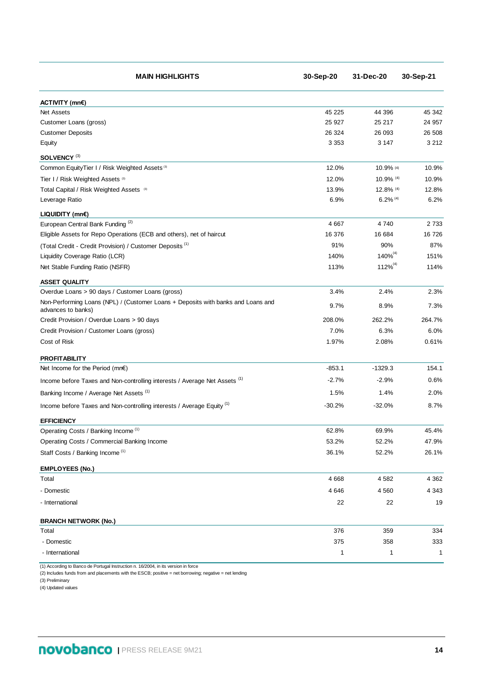| <b>MAIN HIGHLIGHTS</b>                                                                                 | 30-Sep-20 | 31-Dec-20     | 30-Sep-21    |
|--------------------------------------------------------------------------------------------------------|-----------|---------------|--------------|
| ACTIVITY (mn€)                                                                                         |           |               |              |
| <b>Net Assets</b>                                                                                      | 45 225    | 44 396        | 45 342       |
| Customer Loans (gross)                                                                                 | 25 9 27   | 25 217        | 24 957       |
| <b>Customer Deposits</b>                                                                               | 26 324    | 26 093        | 26 508       |
| Equity                                                                                                 | 3 3 5 3   | 3 1 4 7       | 3 2 1 2      |
| SOLVENCY <sup>(3)</sup>                                                                                |           |               |              |
| Common EquityTier I / Risk Weighted Assets (3)                                                         | 12.0%     | 10.9% (4)     | 10.9%        |
| Tier I / Risk Weighted Assets (3)                                                                      | 12.0%     | 10.9% (4)     | 10.9%        |
| Total Capital / Risk Weighted Assets (3)                                                               | 13.9%     | $12.8\%$ (4)  | 12.8%        |
| Leverage Ratio                                                                                         | 6.9%      | $6.2\%$ (4)   | 6.2%         |
| $LIQUIDITY$ (mn $\varepsilon$ )                                                                        |           |               |              |
| European Central Bank Funding <sup>(2)</sup>                                                           | 4 6 6 7   | 4740          | 2733         |
| Eligible Assets for Repo Operations (ECB and others), net of haircut                                   | 16 376    | 16 684        | 16726        |
| (Total Credit - Credit Provision) / Customer Deposits <sup>(1)</sup>                                   | 91%       | 90%           | 87%          |
| Liquidity Coverage Ratio (LCR)                                                                         | 140%      | $140\%^{(4)}$ | 151%         |
| Net Stable Funding Ratio (NSFR)                                                                        | 113%      | $112\%^{(4)}$ | 114%         |
| <b>ASSET QUALITY</b>                                                                                   |           |               |              |
| Overdue Loans > 90 days / Customer Loans (gross)                                                       | 3.4%      | 2.4%          | 2.3%         |
| Non-Performing Loans (NPL) / (Customer Loans + Deposits with banks and Loans and<br>advances to banks) | 9.7%      | 8.9%          | 7.3%         |
| Credit Provision / Overdue Loans > 90 days                                                             | 208.0%    | 262.2%        | 264.7%       |
| Credit Provision / Customer Loans (gross)                                                              | 7.0%      | 6.3%          | 6.0%         |
| Cost of Risk                                                                                           | 1.97%     | 2.08%         | 0.61%        |
| <b>PROFITABILITY</b>                                                                                   |           |               |              |
| Net Income for the Period (mn $\epsilon$ )                                                             | $-853.1$  | $-1329.3$     | 154.1        |
| Income before Taxes and Non-controlling interests / Average Net Assets <sup>(1)</sup>                  | $-2.7%$   | $-2.9%$       | 0.6%         |
| Banking Income / Average Net Assets <sup>(1)</sup>                                                     | 1.5%      | 1.4%          | 2.0%         |
| Income before Taxes and Non-controlling interests / Average Equity <sup>(1)</sup>                      | $-30.2%$  | $-32.0%$      | 8.7%         |
| <b>EFFICIENCY</b>                                                                                      |           |               |              |
| Operating Costs / Banking Income <sup>(1)</sup>                                                        | 62.8%     | 69.9%         | 45.4%        |
| Operating Costs / Commercial Banking Income                                                            | 53.2%     | 52.2%         | 47.9%        |
| Staff Costs / Banking Income <sup>(1)</sup>                                                            | 36.1%     | 52.2%         | 26.1%        |
| <b>EMPLOYEES (No.)</b>                                                                                 |           |               |              |
| Total                                                                                                  | 4668      | 4582          | 4 3 6 2      |
| - Domestic                                                                                             | 4 6 4 6   | 4 5 6 0       | 4 3 4 3      |
| - International                                                                                        | 22        | 22            | 19           |
| <b>BRANCH NETWORK (No.)</b>                                                                            |           |               |              |
| Total                                                                                                  | 376       | 359           | 334          |
| - Domestic                                                                                             | 375       | 358           | 333          |
| - International                                                                                        | 1         | 1             | $\mathbf{1}$ |

(1) According to Banco de Portugal Instruction n. 16/2004, in its version in force

(2) Includes funds from and placements with the ESCB; positive = net borrowing; negative = net lending

(3) Preliminary

(4) Updated values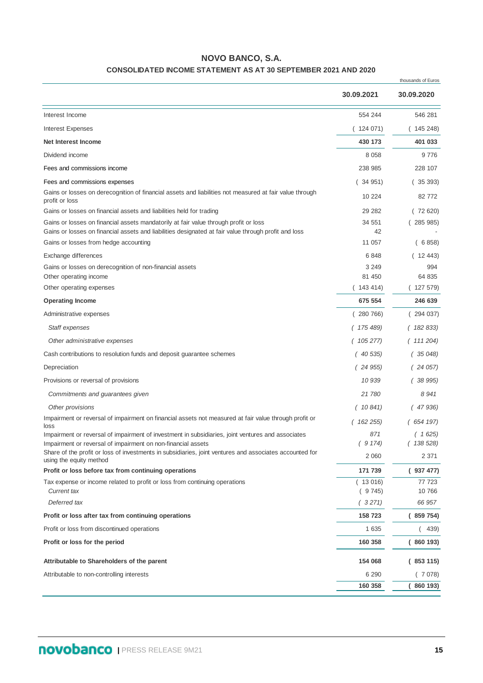# **NOVO BANCO, S.A.**

### **CONSOLIDATED INCOME STATEMENT AS AT 30 SEPTEMBER 2021 AND 2020**

|                                                                                                                                    |                     | thousands of Euros   |
|------------------------------------------------------------------------------------------------------------------------------------|---------------------|----------------------|
|                                                                                                                                    | 30.09.2021          | 30.09.2020           |
| Interest Income                                                                                                                    | 554 244             | 546 281              |
| <b>Interest Expenses</b>                                                                                                           | 124 071)            | (145 248)            |
| <b>Net Interest Income</b>                                                                                                         | 430 173             | 401 033              |
| Dividend income                                                                                                                    | 8 0 5 8             | 9776                 |
| Fees and commissions income                                                                                                        | 238 985             | 228 107              |
| Fees and commissions expenses                                                                                                      | (34951)             | (35393)              |
| Gains or losses on derecognition of financial assets and liabilities not measured at fair value through<br>profit or loss          | 10 224              | 82 772               |
| Gains or losses on financial assets and liabilities held for trading                                                               | 29 28 2             | (72620)              |
| Gains or losses on financial assets mandatorily at fair value through profit or loss                                               | 34 551              | (285985)             |
| Gains or losses on financial assets and liabilities designated at fair value through profit and loss                               | 42                  |                      |
| Gains or losses from hedge accounting                                                                                              | 11 057              | 6 858)               |
| Exchange differences                                                                                                               | 6848                | (1243)               |
| Gains or losses on derecognition of non-financial assets<br>Other operating income                                                 | 3 2 4 9<br>81 450   | 994<br>64 835        |
| Other operating expenses                                                                                                           | (143414)            | (127579)             |
| <b>Operating Income</b>                                                                                                            | 675 554             | 246 639              |
| Administrative expenses                                                                                                            | (280766)            | (294037)             |
| Staff expenses                                                                                                                     | (175489)            | (182833)             |
| Other administrative expenses                                                                                                      | 105 277)            | (111204)             |
| Cash contributions to resolution funds and deposit guarantee schemes                                                               | (40535)             | 35 048)              |
| Depreciation                                                                                                                       | (24955)             | 24 057)              |
| Provisions or reversal of provisions                                                                                               | 10 939              | 38 995)              |
| Commitments and guarantees given                                                                                                   | 21780               | 8941                 |
|                                                                                                                                    |                     |                      |
| Other provisions<br>Impairment or reversal of impairment on financial assets not measured at fair value through profit or          | (10841)<br>(162255) | 47 936)<br>(654 197) |
| loss<br>Impairment or reversal of impairment of investment in subsidiaries, joint ventures and associates                          | 871                 | (1625)               |
| Impairment or reversal of impairment on non-financial assets                                                                       | (9174)              | (138528)             |
| Share of the profit or loss of investments in subsidiaries, joint ventures and associates accounted for<br>using the equity method | 2 0 6 0             | 2 3 7 1              |
| Profit or loss before tax from continuing operations                                                                               | 171 739             | (937477)             |
| Tax expense or income related to profit or loss from continuing operations<br>Current tax                                          | (13016)<br>(9745)   | 77 723<br>10766      |
| Deferred tax                                                                                                                       | (3271)              | 66 957               |
| Profit or loss after tax from continuing operations                                                                                | 158 723             | (859754)             |
| Profit or loss from discontinued operations                                                                                        | 1 6 3 5             | 439)                 |
| Profit or loss for the period                                                                                                      | 160 358             | (860193)             |
| Attributable to Shareholders of the parent                                                                                         | 154 068             | (853115)             |
| Attributable to non-controlling interests                                                                                          | 6 2 9 0             | (7078)               |
|                                                                                                                                    | 160 358             | 860 193)             |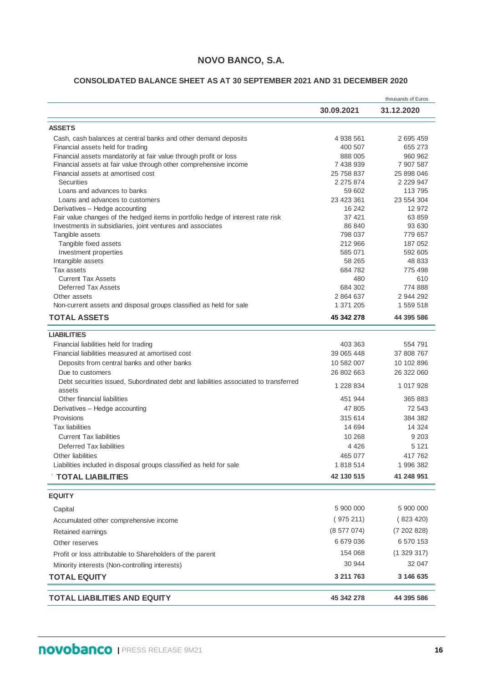# **NOVO BANCO, S.A.**

### **CONSOLIDATED BALANCE SHEET AS AT 30 SEPTEMBER 2021 AND 31 DECEMBER 2020**

|                                                                                               | 30.09.2021          | thousands of Euros<br>31.12.2020 |
|-----------------------------------------------------------------------------------------------|---------------------|----------------------------------|
|                                                                                               |                     |                                  |
| <b>ASSETS</b>                                                                                 |                     |                                  |
| Cash, cash balances at central banks and other demand deposits                                | 4 938 561           | 2 695 459                        |
| Financial assets held for trading                                                             | 400 507             | 655 273                          |
| Financial assets mandatorily at fair value through profit or loss                             | 888 005             | 960 962                          |
| Financial assets at fair value through other comprehensive income                             | 7 438 939           | 7 907 587                        |
| Financial assets at amortised cost<br><b>Securities</b>                                       | 25 758 837          | 25 898 046                       |
| Loans and advances to banks                                                                   | 2 275 874<br>59 602 | 2 2 2 9 4 7<br>113 795           |
| Loans and advances to customers                                                               | 23 423 361          | 23 554 304                       |
| Derivatives - Hedge accounting                                                                | 16 24 2             | 12 972                           |
| Fair value changes of the hedged items in portfolio hedge of interest rate risk               | 37 421              | 63 859                           |
| Investments in subsidiaries, joint ventures and associates                                    | 86 840              | 93 630                           |
| Tangible assets                                                                               | 798 037             | 779 657                          |
| Tangible fixed assets                                                                         | 212 966             | 187 052                          |
| Investment properties                                                                         | 585 071             | 592 605                          |
| Intangible assets                                                                             | 58 265              | 48 833                           |
| Tax assets                                                                                    | 684 782             | 775 498                          |
| <b>Current Tax Assets</b>                                                                     | 480                 | 610                              |
| Deferred Tax Assets                                                                           | 684 302             | 774 888                          |
| Other assets                                                                                  | 2 864 637           | 2 944 292                        |
| Non-current assets and disposal groups classified as held for sale                            | 1 371 205           | 1 559 518                        |
| <b>TOTAL ASSETS</b>                                                                           | 45 342 278          | 44 395 586                       |
| <b>LIABILITIES</b>                                                                            |                     |                                  |
| Financial liabilities held for trading                                                        | 403 363             | 554 791                          |
| Financial liabilities measured at amortised cost                                              | 39 065 448          | 37 808 767                       |
|                                                                                               |                     |                                  |
| Deposits from central banks and other banks                                                   | 10 582 007          | 10 102 896                       |
| Due to customers                                                                              | 26 802 663          | 26 322 060                       |
| Debt securities issued, Subordinated debt and liabilities associated to transferred<br>assets | 1 228 834           | 1 017 928                        |
| Other financial liabilities                                                                   | 451 944             | 365 883                          |
| Derivatives - Hedge accounting                                                                | 47 805              | 72 543                           |
| Provisions                                                                                    | 315 614             | 384 382                          |
| <b>Tax liabilities</b>                                                                        | 14 694              | 14 324                           |
| <b>Current Tax liabilities</b>                                                                | 10 268              | 9 2 0 3                          |
| Deferred Tax liabilities                                                                      | 4 4 2 6             | 5 1 2 1                          |
| Other liabilities                                                                             | 465 077             | 417 762                          |
| Liabilities included in disposal groups classified as held for sale                           | 1 818 514           | 1 996 382                        |
| <b>TOTAL LIABILITIES</b>                                                                      | 42 130 515          | 41 248 951                       |
| <b>EQUITY</b>                                                                                 |                     |                                  |
| Capital                                                                                       | 5 900 000           | 5 900 000                        |
|                                                                                               | (975211)            | (823 420)                        |
| Accumulated other comprehensive income                                                        |                     |                                  |
| Retained earnings                                                                             | (8577074)           | (7202828)                        |
| Other reserves                                                                                | 6 679 036           | 6 570 153                        |
| Profit or loss attributable to Shareholders of the parent                                     | 154 068             | (1329317)                        |
|                                                                                               | 30 944              | 32 047                           |
| Minority interests (Non-controlling interests)<br><b>TOTAL EQUITY</b>                         | 3 211 763           | 3 146 635                        |
|                                                                                               |                     |                                  |
| <b>TOTAL LIABILITIES AND EQUITY</b>                                                           | 45 342 278          | 44 395 586                       |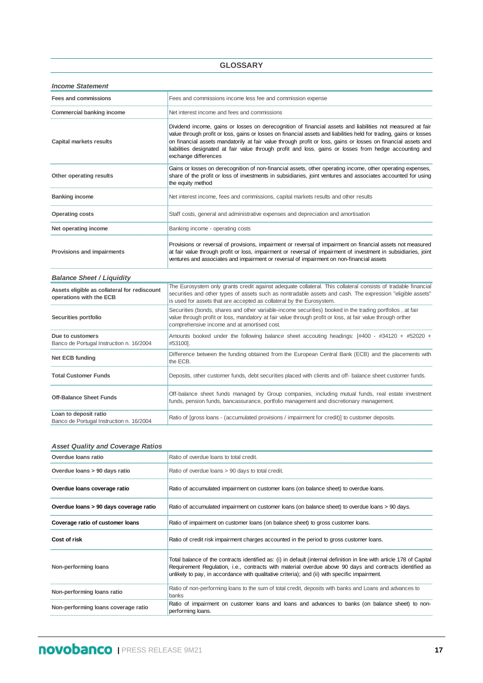#### **GLOSSARY**

| <b>Income Statement</b>          |                                                                                                                                                                                                                                                                                                                                                                                                                                                                                       |
|----------------------------------|---------------------------------------------------------------------------------------------------------------------------------------------------------------------------------------------------------------------------------------------------------------------------------------------------------------------------------------------------------------------------------------------------------------------------------------------------------------------------------------|
| Fees and commissions             | Fees and commissions income less fee and commission expense                                                                                                                                                                                                                                                                                                                                                                                                                           |
| Commercial banking income        | Net interest income and fees and commissions                                                                                                                                                                                                                                                                                                                                                                                                                                          |
| Capital markets results          | Dividend income, gains or losses on derecognition of financial assets and liabilities not measured at fair<br>value through profit or loss, gains or losses on financial assets and liabilities held for trading, gains or losses<br>on financial assets mandatorily at fair value through profit or loss, gains or losses on financial assets and<br>liabilities designated at fair value through profit and loss, gains or losses from hedge accounting and<br>exchange differences |
| Other operating results          | Gains or losses on derecognition of non-financial assets, other operating income, other operating expenses,<br>share of the profit or loss of investments in subsidiaries, joint ventures and associates accounted for using<br>the equity method                                                                                                                                                                                                                                     |
| <b>Banking income</b>            | Net interest income, fees and commissions, capital markets results and other results                                                                                                                                                                                                                                                                                                                                                                                                  |
| <b>Operating costs</b>           | Staff costs, general and administrative expenses and depreciation and amortisation                                                                                                                                                                                                                                                                                                                                                                                                    |
| Net operating income             | Banking income - operating costs                                                                                                                                                                                                                                                                                                                                                                                                                                                      |
| Provisions and impairments       | Provisions or reversal of provisions, impairment or reversal of impairment on financial assets not measured<br>at fair value through profit or loss, impairment or reversal of impairment of investment in subsidiaries, joint<br>ventures and associates and impairment or reversal of impairment on non-financial assets                                                                                                                                                            |
| <b>Balance Sheet / Liquidity</b> |                                                                                                                                                                                                                                                                                                                                                                                                                                                                                       |

| Assets eligible as collateral for rediscount<br>operations with the ECB | The Eurosystem only grants credit against adequate collateral. This collateral consists of tradable financial<br>securities and other types of assets such as nontradable assets and cash. The expression "eligible assets"<br>is used for assets that are accepted as collateral by the Eurosystem. |
|-------------------------------------------------------------------------|------------------------------------------------------------------------------------------------------------------------------------------------------------------------------------------------------------------------------------------------------------------------------------------------------|
| Securities portfolio                                                    | Securities (bonds, shares and other variable-income securities) booked in the trading portfolios, at fair<br>value through profit or loss, mandatory at fair value through profit or loss, at fair value through orther<br>comprehensive income and at amortised cost.                               |
| Due to customers<br>Banco de Portugal Instruction n. 16/2004            | Amounts booked under the following balance sheet accouting headings: $[#400 - #34120 + #52020 +$<br>#53100].                                                                                                                                                                                         |
| <b>Net ECB funding</b>                                                  | Difference between the funding obtained from the European Central Bank (ECB) and the placements with<br>the ECB.                                                                                                                                                                                     |
| <b>Total Customer Funds</b>                                             | Deposits, other customer funds, debt securities placed with clients and off- balance sheet customer funds.                                                                                                                                                                                           |
| <b>Off-Balance Sheet Funds</b>                                          | Off-balance sheet funds managed by Group companies, including mutual funds, real estate investment<br>funds, pension funds, bancassurance, portfolio management and discretionary management.                                                                                                        |
| Loan to deposit ratio<br>Banco de Portugal Instruction n. 16/2004       | Ratio of [gross loans - (accumulated provisions / impairment for credit)] to customer deposits.                                                                                                                                                                                                      |

#### *Asset Quality and Coverage Ratios*

| Overdue loans ratio                    | Ratio of overdue loans to total credit.                                                                                                                                                                                                                                                                                           |
|----------------------------------------|-----------------------------------------------------------------------------------------------------------------------------------------------------------------------------------------------------------------------------------------------------------------------------------------------------------------------------------|
| Overdue loans > 90 days ratio          | Ratio of overdue loans > 90 days to total credit.                                                                                                                                                                                                                                                                                 |
| Overdue loans coverage ratio           | Ratio of accumulated impairment on customer loans (on balance sheet) to overdue loans.                                                                                                                                                                                                                                            |
| Overdue loans > 90 days coverage ratio | Ratio of accumulated impairment on customer loans (on balance sheet) to overdue loans > 90 days.                                                                                                                                                                                                                                  |
| Coverage ratio of customer loans       | Ratio of impairment on customer loans (on balance sheet) to gross customer loans.                                                                                                                                                                                                                                                 |
| Cost of risk                           | Ratio of credit risk impairment charges accounted in the period to gross customer loans.                                                                                                                                                                                                                                          |
| Non-performing loans                   | Total balance of the contracts identified as: (i) in default (internal definition in line with article 178 of Capital<br>Requirement Requlation, i.e., contracts with material overdue above 90 days and contracts identified as<br>unlikely to pay, in accordance with qualitative criteria); and (ii) with specific impairment. |
| Non-performing loans ratio             | Ratio of non-performing loans to the sum of total credit, deposits with banks and Loans and advances to<br>banks                                                                                                                                                                                                                  |
| Non-performing loans coverage ratio    | Ratio of impairment on customer loans and loans and advances to banks (on balance sheet) to non-<br>performing loans.                                                                                                                                                                                                             |